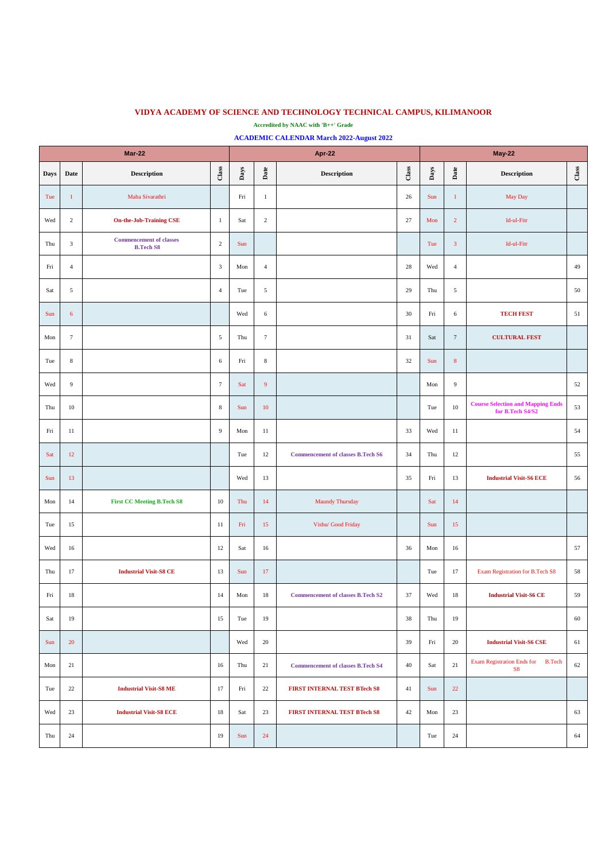| <b>Mar-22</b> |                |                                                    |                | Apr-22 |                |                                          |        |      | May-22          |                                                              |       |  |
|---------------|----------------|----------------------------------------------------|----------------|--------|----------------|------------------------------------------|--------|------|-----------------|--------------------------------------------------------------|-------|--|
| <b>Days</b>   | Date           | <b>Description</b>                                 | Class          | Days   | Date           | Description                              | Class  | Days | Date            | <b>Description</b>                                           | Class |  |
| Tue           | -1             | Maha Sivarathri                                    |                | Fri    | $\mathbf{1}$   |                                          | $26\,$ | Sun  | $\mathbf{1}$    | May Day                                                      |       |  |
| Wed           | 2              | <b>On-the-Job-Training CSE</b>                     | 1              | Sat    | $\overline{2}$ |                                          | 27     | Mon  | $\overline{2}$  | Id-ul-Fitr                                                   |       |  |
| Thu           | 3              | <b>Commencement of classes</b><br><b>B.Tech S8</b> | 2              | Sun    |                |                                          |        | Tue  | $\overline{3}$  | Id-ul-Fitr                                                   |       |  |
| Fri           | $\overline{4}$ |                                                    | 3              | Mon    | $\overline{4}$ |                                          | 28     | Wed  | $\overline{4}$  |                                                              | 49    |  |
| Sat           | $\sqrt{5}$     |                                                    | $\overline{4}$ | Tue    | $\mathfrak{S}$ |                                          | 29     | Thu  | 5               |                                                              | 50    |  |
| Sun           | 6              |                                                    |                | Wed    | 6              |                                          | 30     | Fri  | 6               | <b>TECH FEST</b>                                             | 51    |  |
| Mon           | $\tau$         |                                                    | 5              | Thu    | $\tau$         |                                          | 31     | Sat  | $7\phantom{.0}$ | <b>CULTURAL FEST</b>                                         |       |  |
| Tue           | 8              |                                                    | 6              | Fri    | 8              |                                          | 32     | Sun  | 8               |                                                              |       |  |
| Wed           | 9              |                                                    | $\tau$         | Sat    | 9              |                                          |        | Mon  | 9               |                                                              | 52    |  |
| Thu           | $10\,$         |                                                    | 8              | Sun    | 10             |                                          |        | Tue  | 10              | <b>Course Selection and Mapping Ends</b><br>for B.Tech S4/S2 | 53    |  |
| Fri           | 11             |                                                    | 9              | Mon    | $11\,$         |                                          | 33     | Wed  | 11              |                                                              | 54    |  |
| Sat           | 12             |                                                    |                | Tue    | 12             | <b>Commencement of classes B.Tech S6</b> | 34     | Thu  | 12              |                                                              | 55    |  |
| Sun           | 13             |                                                    |                | Wed    | 13             |                                          | 35     | Fri  | 13              | <b>Industrial Visit-S6 ECE</b>                               | 56    |  |
| Mon           | 14             | <b>First CC Meeting B.Tech S8</b>                  | 10             | Thu    | 14             | <b>Maundy Thursday</b>                   |        | Sat  | 14              |                                                              |       |  |
| Tue           | 15             |                                                    | 11             | Fri    | 15             | Vishu/ Good Friday                       |        | Sun  | 15              |                                                              |       |  |
| Wed           | 16             |                                                    | 12             | Sat    | 16             |                                          | 36     | Mon  | 16              |                                                              | 57    |  |
| Thu           | 17             | <b>Industrial Visit-S8 CE</b>                      | 13             | Sun    | 17             |                                          |        | Tue  | 17              | Exam Registration for B.Tech S8                              | 58    |  |
| Fri           | 18             |                                                    | 14             | Mon    | 18             | <b>Commencement of classes B.Tech S2</b> | 37     | Wed  | 18              | <b>Industrial Visit-S6 CE</b>                                | 59    |  |
| Sat           | 19             |                                                    | 15             | Tue    | 19             |                                          | 38     | Thu  | 19              |                                                              | 60    |  |
| Sun           | <b>20</b>      |                                                    |                | Wed    | 20             |                                          | 39     | Fri  | 20              | <b>Industrial Visit-S6 CSE</b>                               | 61    |  |
| Mon           | 21             |                                                    | 16             | Thu    | 21             | <b>Commencement of classes B.Tech S4</b> | $40\,$ | Sat  | 21              | Exam Registration Ends for B.Tech<br>${\bf S8}$              | 62    |  |
| Tue           | 22             | <b>Industrial Visit-S8 ME</b>                      | 17             | Fri    | 22             | <b>FIRST INTERNAL TEST BTech S8</b>      | 41     | Sun  | 22              |                                                              |       |  |
| Wed           | 23             | <b>Industrial Visit-S8 ECE</b>                     | 18             | Sat    | 23             | <b>FIRST INTERNAL TEST BTech S8</b>      | 42     | Mon  | 23              |                                                              | 63    |  |
| Thu           | 24             |                                                    | 19             | Sun    | 24             |                                          |        | Tue  | 24              |                                                              | 64    |  |

## **VIDYA ACADEMY OF SCIENCE AND TECHNOLOGY TECHNICAL CAMPUS, KILIMANOOR**

**Accredited by NAAC with 'B++' Grade**

## **ACADEMIC CALENDAR March 2022-August 2022**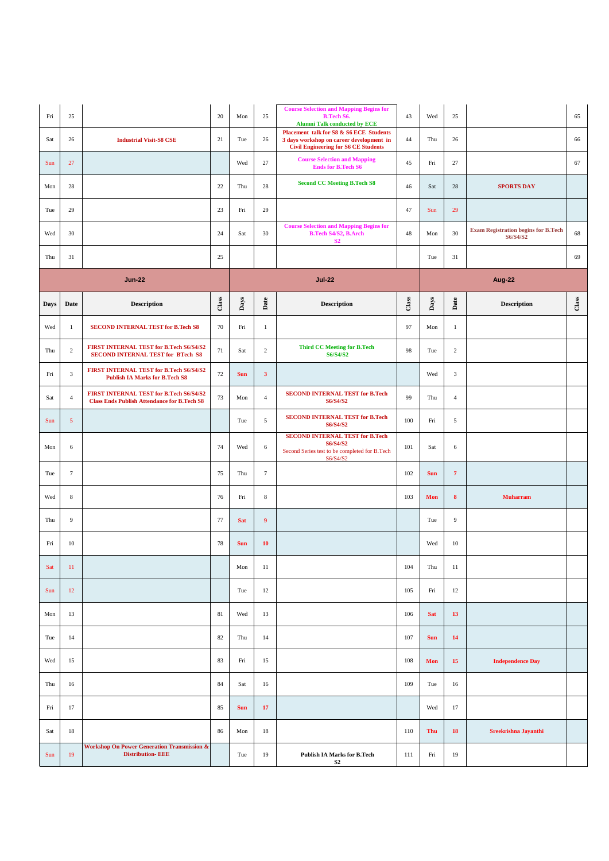| Fri         | 25             |                                                                                               | 20    | Mon        | 25             | <b>Course Selection and Mapping Begins for</b><br><b>B.Tech S6.</b><br><b>Alumni Talk conducted by ECE</b>                         | 43            | Wed        | 25             |                                                               | 65    |  |
|-------------|----------------|-----------------------------------------------------------------------------------------------|-------|------------|----------------|------------------------------------------------------------------------------------------------------------------------------------|---------------|------------|----------------|---------------------------------------------------------------|-------|--|
| Sat         | 26             | <b>Industrial Visit-S8 CSE</b>                                                                | 21    | Tue        | 26             | Placement talk for S8 & S6 ECE Students<br>3 days workshop on career development in<br><b>Civil Engineering for S6 CE Students</b> | 44            | Thu        | 26             |                                                               | 66    |  |
| Sun         | 27             |                                                                                               |       | Wed        | 27             | <b>Course Selection and Mapping</b><br><b>Ends for B.Tech S6</b>                                                                   | 45            | Fri        | 27             |                                                               | 67    |  |
| Mon         | 28             |                                                                                               | 22    | Thu        | 28             | <b>Second CC Meeting B.Tech S8</b>                                                                                                 | 46            | Sat        | 28             | <b>SPORTS DAY</b>                                             |       |  |
| Tue         | 29             |                                                                                               | 23    | Fri        | 29             |                                                                                                                                    | 47            | Sun        | 29             |                                                               |       |  |
| Wed         | 30             |                                                                                               | 24    | Sat        | 30             | <b>Course Selection and Mapping Begins for</b><br><b>B.Tech S4/S2, B.Arch</b><br>S <sub>2</sub>                                    | 48            | Mon        | 30             | <b>Exam Registration begins for B.Tech</b><br><b>S6/S4/S2</b> | 68    |  |
| Thu         | 31             |                                                                                               | 25    |            |                |                                                                                                                                    |               | Tue        | 31             |                                                               | 69    |  |
|             | <b>Jun-22</b>  |                                                                                               |       |            |                | <b>Jul-22</b>                                                                                                                      | <b>Aug-22</b> |            |                |                                                               |       |  |
| <b>Days</b> | Date           | <b>Description</b>                                                                            | Class | Days       | Date           | <b>Description</b>                                                                                                                 | Class         | Days       | Date           | <b>Description</b>                                            | Class |  |
| Wed         | -1             | <b>SECOND INTERNAL TEST for B.Tech S8</b>                                                     | 70    | Fri        | -1             |                                                                                                                                    | 97            | Mon        | 1              |                                                               |       |  |
| Thu         | $\overline{2}$ | FIRST INTERNAL TEST for B.Tech S6/S4/S2<br><b>SECOND INTERNAL TEST for BTech S8</b>           | 71    | Sat        | 2              | <b>Third CC Meeting for B.Tech</b><br><b>S6/S4/S2</b>                                                                              | 98            | Tue        | $\overline{2}$ |                                                               |       |  |
| Fri         | 3              | FIRST INTERNAL TEST for B.Tech S6/S4/S2<br><b>Publish IA Marks for B.Tech S8</b>              | 72    | <b>Sun</b> | $\mathbf{3}$   |                                                                                                                                    |               | Wed        | 3              |                                                               |       |  |
| Sat         | $\overline{4}$ | FIRST INTERNAL TEST for B.Tech S6/S4/S2<br><b>Class Ends Publish Attendance for B.Tech S8</b> | 73    | Mon        | $\overline{4}$ | <b>SECOND INTERNAL TEST for B.Tech</b><br><b>S6/S4/S2</b>                                                                          | 99            | Thu        | $\overline{4}$ |                                                               |       |  |
| Sun         | 5              |                                                                                               |       | Tue        | 5              | <b>SECOND INTERNAL TEST for B.Tech</b><br><b>S6/S4/S2</b>                                                                          | 100           | Fri        | 5              |                                                               |       |  |
| Mon         | 6              |                                                                                               | 74    | Wed        | 6              | <b>SECOND INTERNAL TEST for B.Tech</b><br><b>S6/S4/S2</b><br>Second Series test to be completed for B.Tech<br>S6/S4/S2             | 101           | Sat        | 6              |                                                               |       |  |
| Tue         | $\tau$         |                                                                                               | 75    | Thu        | $\tau$         |                                                                                                                                    | 102           | <b>Sun</b> | $\overline{7}$ |                                                               |       |  |
| Wed         | 8              |                                                                                               | 76    | Fri        | 8              |                                                                                                                                    | 103           | Mon        | 8              | <b>Muharram</b>                                               |       |  |
| Thu         | 9              |                                                                                               | 77    | <b>Sat</b> | $\overline{9}$ |                                                                                                                                    |               | Tue        | 9              |                                                               |       |  |
| Fri         | $10\,$         |                                                                                               | 78    | <b>Sun</b> | <b>10</b>      |                                                                                                                                    |               | Wed        | $10\,$         |                                                               |       |  |
| Sat         | 11             |                                                                                               |       | Mon        | 11             |                                                                                                                                    | 104           | Thu        | 11             |                                                               |       |  |
| Sun         | 12             |                                                                                               |       | Tue        | 12             |                                                                                                                                    | 105           | Fri        | 12             |                                                               |       |  |
| Mon         | 13             |                                                                                               | 81    | Wed        | 13             |                                                                                                                                    | 106           | <b>Sat</b> | 13             |                                                               |       |  |
| Tue         | 14             |                                                                                               | 82    | Thu        | 14             |                                                                                                                                    | 107           | <b>Sun</b> | 14             |                                                               |       |  |
| Wed         | 15             |                                                                                               | 83    | Fri        | 15             |                                                                                                                                    | 108           | Mon        | 15             | <b>Independence Day</b>                                       |       |  |
| Thu         | 16             |                                                                                               | 84    | Sat        | 16             |                                                                                                                                    | 109           | Tue        | 16             |                                                               |       |  |
| Fri         | 17             |                                                                                               | 85    | <b>Sun</b> | 17             |                                                                                                                                    |               | Wed        | 17             |                                                               |       |  |
| Sat         | 18             |                                                                                               | 86    | Mon        | 18             |                                                                                                                                    | 110           | Thu        | 18             | Sreekrishna Jayanthi                                          |       |  |
| Sun         | 19             | <b>Workshop On Power Generation Transmission &amp;</b><br><b>Distribution-EEE</b>             |       | Tue        | 19             | <b>Publish IA Marks for B.Tech</b><br>S <sub>2</sub>                                                                               | 111           | Fri        | 19             |                                                               |       |  |